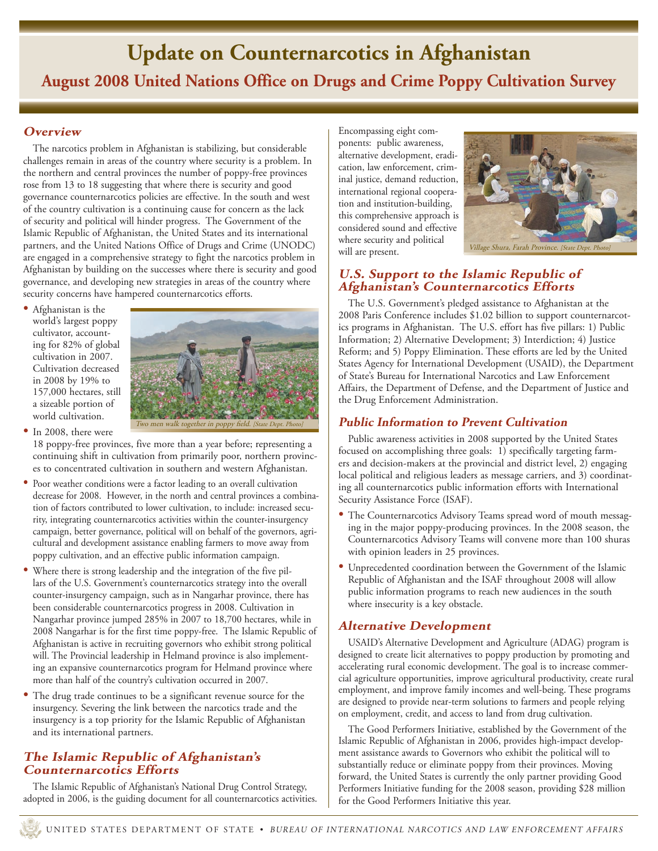# **Update on Counternarcotics in Afghanistan August 2008 United Nations Office on Drugs and Crime Poppy Cultivation Survey**

## **Overview**

The narcotics problem in Afghanistan is stabilizing, but considerable challenges remain in areas of the country where security is a problem. In the northern and central provinces the number of poppy-free provinces rose from 13 to 18 suggesting that where there is security and good governance counternarcotics policies are effective. In the south and west of the country cultivation is a continuing cause for concern as the lack of security and political will hinder progress. The Government of the Islamic Republic of Afghanistan, the United States and its international partners, and the United Nations Office of Drugs and Crime (UNODC) are engaged in a comprehensive strategy to fight the narcotics problem in Afghanistan by building on the successes where there is security and good governance, and developing new strategies in areas of the country where security concerns have hampered counternarcotics efforts.

• Afghanistan is the world's largest poppy cultivator, accounting for 82% of global cultivation in 2007. Cultivation decreased in 2008 by 19% to 157,000 hectares, still a sizeable portion of world cultivation.



• In 2008, there were

18 poppy-free provinces, five more than a year before; representing a continuing shift in cultivation from primarily poor, northern provinces to concentrated cultivation in southern and western Afghanistan.

- Poor weather conditions were a factor leading to an overall cultivation decrease for 2008. However, in the north and central provinces a combination of factors contributed to lower cultivation, to include: increased security, integrating counternarcotics activities within the counter-insurgency campaign, better governance, political will on behalf of the governors, agricultural and development assistance enabling farmers to move away from poppy cultivation, and an effective public information campaign.
- Where there is strong leadership and the integration of the five pillars of the U.S. Government's counternarcotics strategy into the overall counter-insurgency campaign, such as in Nangarhar province, there has been considerable counternarcotics progress in 2008. Cultivation in Nangarhar province jumped 285% in 2007 to 18,700 hectares, while in 2008 Nangarhar is for the first time poppy-free. The Islamic Republic of Afghanistan is active in recruiting governors who exhibit strong political will. The Provincial leadership in Helmand province is also implementing an expansive counternarcotics program for Helmand province where more than half of the country's cultivation occurred in 2007.
- The drug trade continues to be a significant revenue source for the insurgency. Severing the link between the narcotics trade and the insurgency is a top priority for the Islamic Republic of Afghanistan and its international partners.

## **The Islamic Republic of Afghanistan's Counternarcotics Efforts**

The Islamic Republic of Afghanistan's National Drug Control Strategy, adopted in 2006, is the guiding document for all counternarcotics activities.

Encompassing eight components: public awareness, alternative development, eradication, law enforcement, criminal justice, demand reduction, international regional cooperation and institution-building, this comprehensive approach is considered sound and effective where security and political will are present.



## **U.S. Support to the Islamic Republic of Afghanistan's Counternarcotics Efforts**

The U.S. Government's pledged assistance to Afghanistan at the 2008 Paris Conference includes \$1.02 billion to support counternarcotics programs in Afghanistan. The U.S. effort has five pillars: 1) Public Information; 2) Alternative Development; 3) Interdiction; 4) Justice Reform; and 5) Poppy Elimination. These efforts are led by the United States Agency for International Development (USAID), the Department of State's Bureau for International Narcotics and Law Enforcement Affairs, the Department of Defense, and the Department of Justice and the Drug Enforcement Administration.

## **Public Information to Prevent Cultivation**

Public awareness activities in 2008 supported by the United States focused on accomplishing three goals: 1) specifically targeting farmers and decision-makers at the provincial and district level, 2) engaging local political and religious leaders as message carriers, and 3) coordinating all counternarcotics public information efforts with International Security Assistance Force (ISAF).

- The Counternarcotics Advisory Teams spread word of mouth messaging in the major poppy-producing provinces. In the 2008 season, the Counternarcotics Advisory Teams will convene more than 100 shuras with opinion leaders in 25 provinces.
- • Unprecedented coordination between the Government of the Islamic Republic of Afghanistan and the ISAF throughout 2008 will allow public information programs to reach new audiences in the south where insecurity is a key obstacle.

## **Alternative Development**

USAID's Alternative Development and Agriculture (ADAG) program is designed to create licit alternatives to poppy production by promoting and accelerating rural economic development. The goal is to increase commercial agriculture opportunities, improve agricultural productivity, create rural employment, and improve family incomes and well-being. These programs are designed to provide near-term solutions to farmers and people relying on employment, credit, and access to land from drug cultivation.

The Good Performers Initiative, established by the Government of the Islamic Republic of Afghanistan in 2006, provides high-impact development assistance awards to Governors who exhibit the political will to substantially reduce or eliminate poppy from their provinces. Moving forward, the United States is currently the only partner providing Good Performers Initiative funding for the 2008 season, providing \$28 million for the Good Performers Initiative this year.